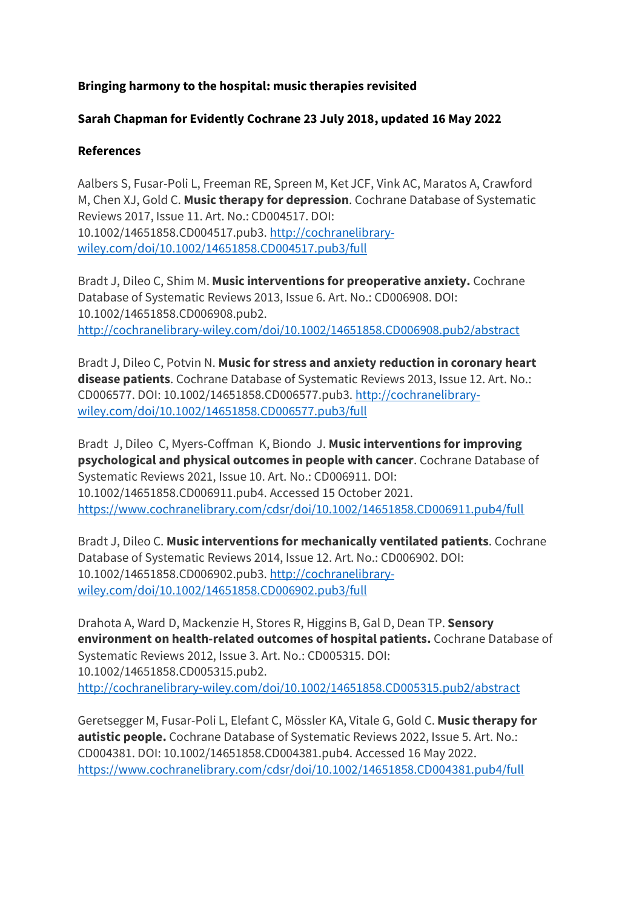## **Bringing harmony to the hospital: music therapies revisited**

## **Sarah Chapman for Evidently Cochrane 23 July 2018, updated 16 May 2022**

## **References**

Aalbers S, Fusar-Poli L, Freeman RE, Spreen M, Ket JCF, Vink AC, Maratos A, Crawford M, Chen XJ, Gold C. **Music therapy for depression**. Cochrane Database of Systematic Reviews 2017, Issue 11. Art. No.: CD004517. DOI: 10.1002/14651858.CD004517.pub3. [http://cochranelibrary](http://cochranelibrary-wiley.com/doi/10.1002/14651858.CD004517.pub3/full)[wiley.com/doi/10.1002/14651858.CD004517.pub3/full](http://cochranelibrary-wiley.com/doi/10.1002/14651858.CD004517.pub3/full)

Bradt J, Dileo C, Shim M. **Music interventions for preoperative anxiety.** Cochrane Database of Systematic Reviews 2013, Issue 6. Art. No.: CD006908. DOI: 10.1002/14651858.CD006908.pub2. <http://cochranelibrary-wiley.com/doi/10.1002/14651858.CD006908.pub2/abstract>

Bradt J, Dileo C, Potvin N. **Music for stress and anxiety reduction in coronary heart disease patients**. Cochrane Database of Systematic Reviews 2013, Issue 12. Art. No.: CD006577. DOI: 10.1002/14651858.CD006577.pub3. [http://cochranelibrary](http://cochranelibrary-wiley.com/doi/10.1002/14651858.CD006577.pub3/full)[wiley.com/doi/10.1002/14651858.CD006577.pub3/full](http://cochranelibrary-wiley.com/doi/10.1002/14651858.CD006577.pub3/full)

Bradt J, Dileo C, Myers-Coffman K, Biondo J. **Music interventions for improving psychological and physical outcomes in people with cancer**. Cochrane Database of Systematic Reviews 2021, Issue 10. Art. No.: CD006911. DOI: 10.1002/14651858.CD006911.pub4. Accessed 15 October 2021. <https://www.cochranelibrary.com/cdsr/doi/10.1002/14651858.CD006911.pub4/full>

Bradt J, Dileo C. **Music interventions for mechanically ventilated patients**. Cochrane Database of Systematic Reviews 2014, Issue 12. Art. No.: CD006902. DOI: 10.1002/14651858.CD006902.pub3. [http://cochranelibrary](http://cochranelibrary-wiley.com/doi/10.1002/14651858.CD006902.pub3/full)[wiley.com/doi/10.1002/14651858.CD006902.pub3/full](http://cochranelibrary-wiley.com/doi/10.1002/14651858.CD006902.pub3/full)

Drahota A, Ward D, Mackenzie H, Stores R, Higgins B, Gal D, Dean TP. **Sensory environment on health-related outcomes of hospital patients.** Cochrane Database of Systematic Reviews 2012, Issue 3. Art. No.: CD005315. DOI: 10.1002/14651858.CD005315.pub2. <http://cochranelibrary-wiley.com/doi/10.1002/14651858.CD005315.pub2/abstract>

Geretsegger M, Fusar-Poli L, Elefant C, Mössler KA, Vitale G, Gold C. **Music therapy for autistic people.** Cochrane Database of Systematic Reviews 2022, Issue 5. Art. No.: CD004381. DOI: 10.1002/14651858.CD004381.pub4. Accessed 16 May 2022. <https://www.cochranelibrary.com/cdsr/doi/10.1002/14651858.CD004381.pub4/full>